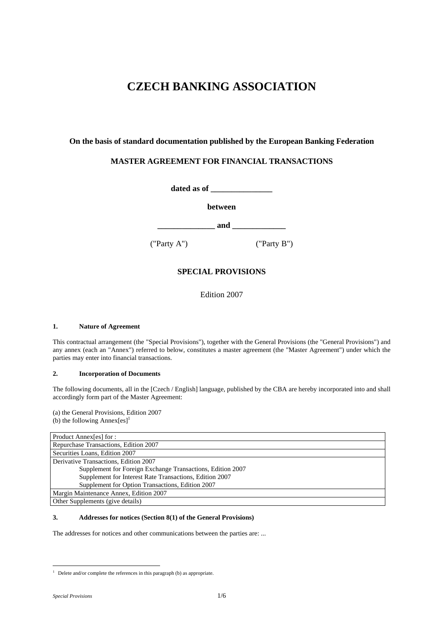# **CZECH BANKING ASSOCIATION**

## **On the basis of standard documentation published by the European Banking Federation**

# **MASTER AGREEMENT FOR FINANCIAL TRANSACTIONS**

**dated as of \_\_\_\_\_\_\_\_\_\_\_\_\_\_\_** 

**between** 

**\_\_\_\_\_\_\_\_\_\_\_\_\_\_ and \_\_\_\_\_\_\_\_\_\_\_\_\_** 

("Party A") ("Party B")

# **SPECIAL PROVISIONS**

Edition 2007

## **1. Nature of Agreement**

This contractual arrangement (the "Special Provisions"), together with the General Provisions (the "General Provisions") and any annex (each an "Annex") referred to below, constitutes a master agreement (the "Master Agreement") under which the parties may enter into financial transactions.

## **2. Incorporation of Documents**

The following documents, all in the [Czech / English] language, published by the CBA are hereby incorporated into and shall accordingly form part of the Master Agreement:

(a) the General Provisions, Edition 2007 (b) the following Annex $[es]$ <sup>1</sup>

| Product Annex[es] for :                                    |  |  |
|------------------------------------------------------------|--|--|
| Repurchase Transactions, Edition 2007                      |  |  |
| Securities Loans, Edition 2007                             |  |  |
| Derivative Transactions, Edition 2007                      |  |  |
| Supplement for Foreign Exchange Transactions, Edition 2007 |  |  |
| Supplement for Interest Rate Transactions, Edition 2007    |  |  |
| Supplement for Option Transactions, Edition 2007           |  |  |
| Margin Maintenance Annex, Edition 2007                     |  |  |
| Other Supplements (give details)                           |  |  |

## **3. Addresses for notices (Section 8(1) of the General Provisions)**

The addresses for notices and other communications between the parties are: ...

 1 Delete and/or complete the references in this paragraph (b) as appropriate.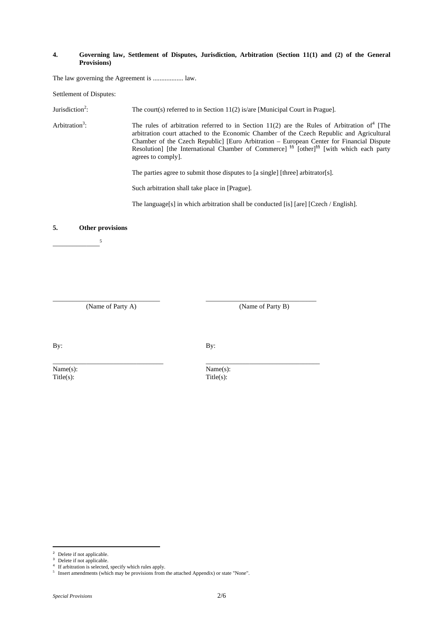#### **4. Governing law, Settlement of Disputes, Jurisdiction, Arbitration (Section 11(1) and (2) of the General Provisions)**

The law governing the Agreement is .................. law.

Settlement of Disputes:

Jurisdiction<sup>2</sup>: The court(s) referred to in Section 11(2) is/are [Municipal Court in Prague].

Arbitration<sup>3</sup>:  $\therefore$  The rules of arbitration referred to in Section 11(2) are the Rules of Arbitration of<sup>4</sup> [The arbitration court attached to the Economic Chamber of the Czech Republic and Agricultural Chamber of the Czech Republic] [Euro Arbitration – European Center for Financial Dispute Resolution] [the International Chamber of Commerce]<sup>§§</sup> [other]<sup>§§</sup> [with which each party agrees to comply].

The parties agree to submit those disputes to [a single] [three] arbitrator[s].

Such arbitration shall take place in [Prague].

\_\_\_\_\_\_\_\_\_\_\_\_\_\_\_\_\_\_\_\_\_\_\_\_\_\_\_\_\_\_\_\_ \_\_\_\_\_\_\_\_\_\_\_\_\_\_\_\_\_\_\_\_\_\_\_\_\_\_\_\_\_\_\_\_\_

\_\_\_\_\_\_\_\_\_\_\_\_\_\_\_\_\_\_\_\_\_\_\_\_\_\_\_\_\_\_\_\_\_ \_\_\_\_\_\_\_\_\_\_\_\_\_\_\_\_\_\_\_\_\_\_\_\_\_\_\_\_\_\_\_\_\_\_

The language[s] in which arbitration shall be conducted [is] [are] [Czech / English].

#### **5. Other provisions**

 $\overline{\phantom{a}5}$ 

(Name of Party A) (Name of Party B)

 $\text{Title}(s)$ :  $\text{Title}(s)$ :

By: By:

Name(s): Name(s):

i Delete if not applicable.

Delete if not applicable.

If arbitration is selected, specify which rules apply.

<sup>5</sup> Insert amendments (which may be provisions from the attached Appendix) or state "None".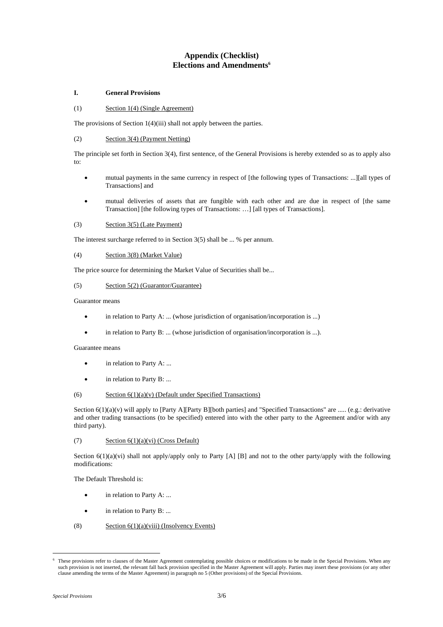# **Appendix (Checklist) Elections and Amendments<sup>6</sup>**

## **I. General Provisions**

#### (1) Section 1(4) (Single Agreement)

The provisions of Section 1(4)(iii) shall not apply between the parties.

## (2) Section 3(4) (Payment Netting)

The principle set forth in Section 3(4), first sentence, of the General Provisions is hereby extended so as to apply also to:

- mutual payments in the same currency in respect of [the following types of Transactions: ...][all types of Transactions] and
- mutual deliveries of assets that are fungible with each other and are due in respect of [the same Transaction] [the following types of Transactions: …] [all types of Transactions].

## (3) Section 3(5) (Late Payment)

The interest surcharge referred to in Section 3(5) shall be ... % per annum.

#### (4) Section 3(8) (Market Value)

The price source for determining the Market Value of Securities shall be...

## (5) Section 5(2) (Guarantor/Guarantee)

Guarantor means

- in relation to Party A: ... (whose jurisdiction of organisation/incorporation is ...)
- in relation to Party B: ... (whose jurisdiction of organisation/incorporation is ...).

#### Guarantee means

- in relation to Party A: ...
- in relation to Party B: ...

#### (6) Section  $6(1)(a)(v)$  (Default under Specified Transactions)

Section  $6(1)(a)(v)$  will apply to [Party A][Party B][both parties] and "Specified Transactions" are ..... (e.g.: derivative and other trading transactions (to be specified) entered into with the other party to the Agreement and/or with any third party).

## (7) Section 6(1)(a)(vi) (Cross Default)

Section  $6(1)(a)(vi)$  shall not apply/apply only to Party [A] [B] and not to the other party/apply with the following modifications:

The Default Threshold is:

- in relation to Party A: ...
- in relation to Party B: ...
- (8) Section  $6(1)(a)(viii)$  (Insolvency Events)

i<br>Li 6 These provisions refer to clauses of the Master Agreement contemplating possible choices or modifications to be made in the Special Provisions. When any such provision is not inserted, the relevant fall back provision specified in the Master Agreement will apply. Parties may insert these provisions (or any other clause amending the terms of the Master Agreement) in paragraph no 5 (Other provisions) of the Special Provisions.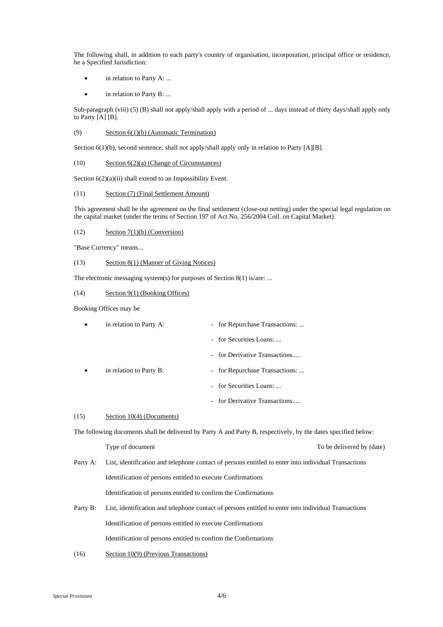The following shall, in addition to each party's country of organisation, incorporation, principal office or residence, be a Specified Jurisdiction:

- in relation to Party A: ...
- in relation to Party B: ...

Sub-paragraph (viii) (5) (B) shall not apply/shall apply with a period of ... days instead of thirty days/shall apply only to Party [A] [B].

#### (9) Section 6(1)(b) (Automatic Termination)

Section 6(1)(b), second sentence, shall not apply/shall apply only in relation to Party [A][B].

(10) Section 6(2)(a) (Change of Circumstances)

Section  $6(2)(a)(ii)$  shall extend to an Impossibility Event.

#### (11) Section (7) (Final Settlement Amount)

This agreement shall be the agreement on the final settlement (close-out netting) under the special legal regulation on the capital market (under the terms of Section 197 of Act No. 256/2004 Coll. on Capital Market).

#### $\text{Section 7}(1)(b) \text{ (Conservation)}$

"Base Currency" means...

#### (13) Section 8(1) (Manner of Giving Notices)

The electronic messaging system(s) for purposes of Section 8(1) is/are: ...

#### (14) Section 9(1) (Booking Offices)

Booking Offices may be

| in relation to Party A: | - for Repurchase Transactions: |
|-------------------------|--------------------------------|
|                         | - for Securities Loans:        |
|                         | - for Derivative Transactions  |
| in relation to Party B: | - for Repurchase Transactions: |
|                         | - for Securities Loans:        |
|                         | - for Derivative Transactions  |

#### (15) Section 10(4) (Documents)

The following documents shall be delivered by Party A and Party B, respectively, by the dates specified below:

Type of document To be delivered by (date)

# Party A: List, identification and telephone contact of persons entitled to enter into individual Transactions Identification of persons entitled to execute Confirmations Identification of persons entitled to confirm the Confirmations

- Party B: List, identification and telephone contact of persons entitled to enter into individual Transactions Identification of persons entitled to execute Confirmations Identification of persons entitled to confirm the Confirmations
- (16) Section 10(9) (Previous Transactions)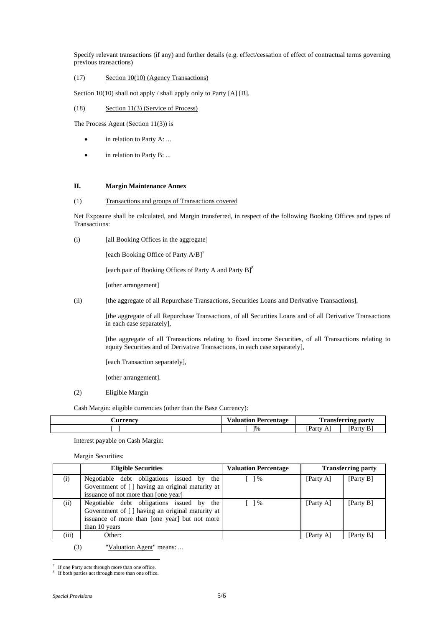Specify relevant transactions (if any) and further details (e.g. effect/cessation of effect of contractual terms governing previous transactions)

# (17) Section 10(10) (Agency Transactions)

Section 10(10) shall not apply / shall apply only to Party [A] [B].

## (18) Section 11(3) (Service of Process)

The Process Agent (Section 11(3)) is

- in relation to Party A: ...
- in relation to Party B: ...

#### **II. Margin Maintenance Annex**

## (1) Transactions and groups of Transactions covered

Net Exposure shall be calculated, and Margin transferred, in respect of the following Booking Offices and types of Transactions:

(i) [all Booking Offices in the aggregate]

[each Booking Office of Party  $A/B$ ]<sup>7</sup>

[each pair of Booking Offices of Party A and Party B]<sup>8</sup>

[other arrangement]

(ii) [the aggregate of all Repurchase Transactions, Securities Loans and Derivative Transactions],

 [the aggregate of all Repurchase Transactions, of all Securities Loans and of all Derivative Transactions in each case separately],

 [the aggregate of all Transactions relating to fixed income Securities, of all Transactions relating to equity Securities and of Derivative Transactions, in each case separately],

[each Transaction separately],

[other arrangement].

#### (2) Eligible Margin

Cash Margin: eligible currencies (other than the Base Currency):

| Aurrency | <b>Valuation Percentage</b> | <b>TIME</b>                                  | l'ransferring party |
|----------|-----------------------------|----------------------------------------------|---------------------|
|          | 1%                          | $\mathbf{m}$<br>Party<br>Δ<br>$\overline{1}$ | <b>Party</b><br>B.  |

Interest payable on Cash Margin:

Margin Securities:

|       | <b>Eligible Securities</b>                       | <b>Valuation Percentage</b>                     |           | <b>Transferring party</b> |
|-------|--------------------------------------------------|-------------------------------------------------|-----------|---------------------------|
| (i)   | Negotiable debt obligations issued by the        | $\frac{1}{6}$                                   | [Party A] | [Party B]                 |
|       | Government of [] having an original maturity at  |                                                 |           |                           |
|       | issuance of not more than [one year]             |                                                 |           |                           |
| (ii)  | Negotiable debt obligations issued by the        | $\begin{array}{c} \begin{array}{c} \end{array}$ | [Party A] | [Party B]                 |
|       | Government of [ ] having an original maturity at |                                                 |           |                           |
|       | issuance of more than [one year] but not more    |                                                 |           |                           |
|       | than 10 years                                    |                                                 |           |                           |
| (iii) | Other:                                           |                                                 | [Party A] | [Party B]                 |

(3) "Valuation Agent" means: ...

i<br>Li 7 If one Party acts through more than one office.

<sup>8</sup> If both parties act through more than one office.